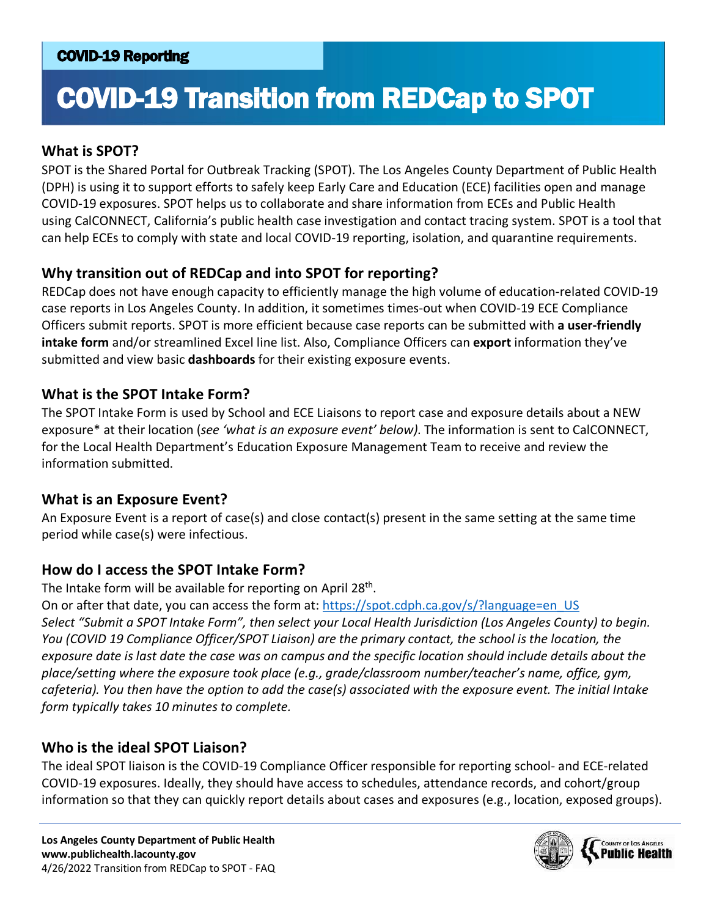# COVID-19 Transition from REDCap to SPOT

#### **What is SPOT?**

SPOT is the Shared Portal for Outbreak Tracking (SPOT). The Los Angeles County Department of Public Health (DPH) is using it to support efforts to safely keep Early Care and Education (ECE) facilities open and manage COVID-19 exposures. SPOT helps us to collaborate and share information from ECEs and Public Health using CalCONNECT, California's public health case investigation and contact tracing system. SPOT is a tool that can help ECEs to comply with state and local COVID-19 reporting, isolation, and quarantine requirements.

## **Why transition out of REDCap and into SPOT for reporting?**

REDCap does not have enough capacity to efficiently manage the high volume of education-related COVID-19 case reports in Los Angeles County. In addition, it sometimes times-out when COVID-19 ECE Compliance Officers submit reports. SPOT is more efficient because case reports can be submitted with **a user-friendly intake form** and/or streamlined Excel line list. Also, Compliance Officers can **export** information they've submitted and view basic **dashboards** for their existing exposure events.

#### **What is the SPOT Intake Form?**

The SPOT Intake Form is used by School and ECE Liaisons to report case and exposure details about a NEW exposure\* at their location (*see 'what is an exposure event' below)*. The information is sent to CalCONNECT, for the Local Health Department's Education Exposure Management Team to receive and review the information submitted.

#### **What is an Exposure Event?**

An Exposure Event is a report of case(s) and close contact(s) present in the same setting at the same time period while case(s) were infectious.

#### **How do I access the SPOT Intake Form?**

The Intake form will be available for reporting on April 28<sup>th</sup>.

On or after that date, you can access the form at: [https://spot.cdph.ca.gov/s/?language=en\\_US](https://spot.cdph.ca.gov/s/?language=en_US) *Select "Submit a SPOT Intake Form", then select your Local Health Jurisdiction (Los Angeles County) to begin. You (COVID 19 Compliance Officer/SPOT Liaison) are the primary contact, the school is the location, the exposure date is last date the case was on campus and the specific location should include details about the place/setting where the exposure took place (e.g., grade/classroom number/teacher's name, office, gym, cafeteria). You then have the option to add the case(s) associated with the exposure event. The initial Intake form typically takes 10 minutes to complete.*

#### **Who is the ideal SPOT Liaison?**

The ideal SPOT liaison is the COVID-19 Compliance Officer responsible for reporting school- and ECE-related COVID-19 exposures. Ideally, they should have access to schedules, attendance records, and cohort/group information so that they can quickly report details about cases and exposures (e.g., location, exposed groups).